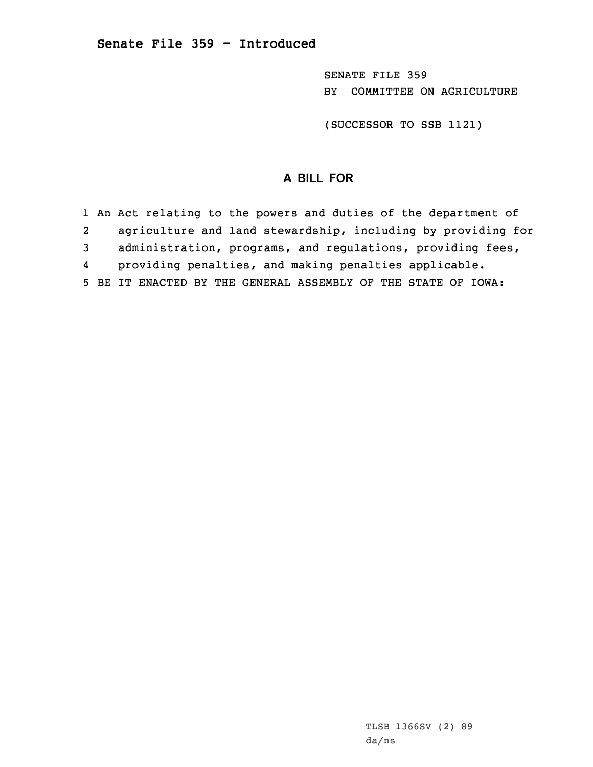SENATE FILE 359 BY COMMITTEE ON AGRICULTURE

(SUCCESSOR TO SSB 1121)

## **A BILL FOR**

1 An Act relating to the powers and duties of the department of 2 agriculture and land stewardship, including by providing for 3 administration, programs, and regulations, providing fees, 4 providing penalties, and making penalties applicable. 5 BE IT ENACTED BY THE GENERAL ASSEMBLY OF THE STATE OF IOWA: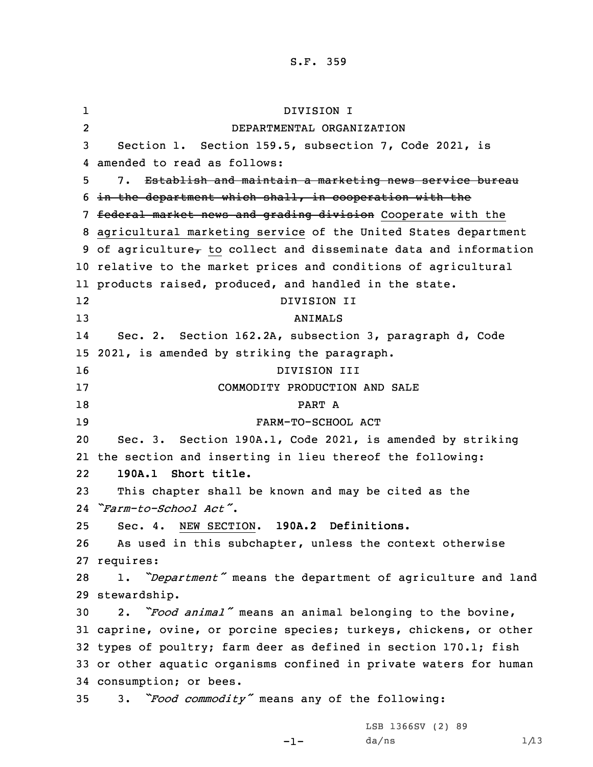## S.F. 359

1 DIVISION I 2 DEPARTMENTAL ORGANIZATION Section 1. Section 159.5, subsection 7, Code 2021, is amended to read as follows: 7. Establish and maintain <sup>a</sup> marketing news service bureau in the department which shall, in cooperation with the 7 federal market news and grading division Cooperate with the agricultural marketing service of the United States department 9 of agriculture $_{\tau}$  to collect and disseminate data and information relative to the market prices and conditions of agricultural products raised, produced, and handled in the state. 12 DIVISION II 13 ANIMALS 14 Sec. 2. Section 162.2A, subsection 3, paragraph d, Code 2021, is amended by striking the paragraph. DIVISION III COMMODITY PRODUCTION AND SALE 18 PART A FARM-TO-SCHOOL ACT Sec. 3. Section 190A.1, Code 2021, is amended by striking the section and inserting in lieu thereof the following: 22 **190A.1 Short title.** This chapter shall be known and may be cited as the *"Farm-to-School Act"*. Sec. 4. NEW SECTION. **190A.2 Definitions.** As used in this subchapter, unless the context otherwise requires: 1. *"Department"* means the department of agriculture and land stewardship. 2. *"Food animal"* means an animal belonging to the bovine, caprine, ovine, or porcine species; turkeys, chickens, or other types of poultry; farm deer as defined in section 170.1; fish or other aquatic organisms confined in private waters for human consumption; or bees. 3. *"Food commodity"* means any of the following: LSB 1366SV (2) 89

-1-

 $da/ns$  1/13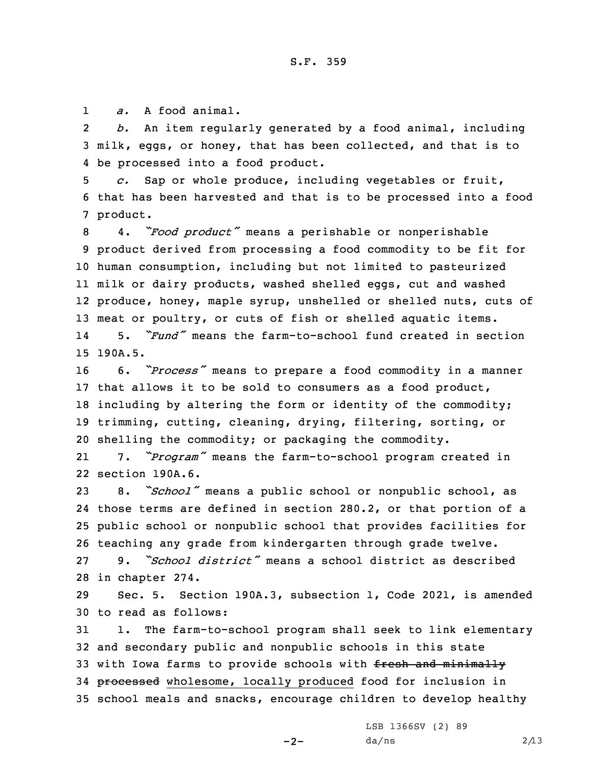1*a.* A food animal.

2 *b.* An item regularly generated by <sup>a</sup> food animal, including 3 milk, eggs, or honey, that has been collected, and that is to 4 be processed into <sup>a</sup> food product.

5 *c.* Sap or whole produce, including vegetables or fruit, 6 that has been harvested and that is to be processed into <sup>a</sup> food 7 product.

 4. *"Food product"* means <sup>a</sup> perishable or nonperishable product derived from processing <sup>a</sup> food commodity to be fit for human consumption, including but not limited to pasteurized milk or dairy products, washed shelled eggs, cut and washed produce, honey, maple syrup, unshelled or shelled nuts, cuts of meat or poultry, or cuts of fish or shelled aquatic items. 14 5. *"Fund"* means the farm-to-school fund created in section 15 190A.5.

 6. *"Process"* means to prepare <sup>a</sup> food commodity in <sup>a</sup> manner that allows it to be sold to consumers as <sup>a</sup> food product, including by altering the form or identity of the commodity; trimming, cutting, cleaning, drying, filtering, sorting, or shelling the commodity; or packaging the commodity.

21 7. *"Program"* means the farm-to-school program created in 22 section 190A.6.

 8. *"School"* means <sup>a</sup> public school or nonpublic school, as those terms are defined in section 280.2, or that portion of <sup>a</sup> public school or nonpublic school that provides facilities for teaching any grade from kindergarten through grade twelve.

27 9. *"School district"* means <sup>a</sup> school district as described 28 in chapter 274.

29 Sec. 5. Section 190A.3, subsection 1, Code 2021, is amended 30 to read as follows:

31 1. The farm-to-school program shall seek to link elementary 32 and secondary public and nonpublic schools in this state 33 with Iowa farms to provide schools with fresh and minimally 34 processed wholesome, locally produced food for inclusion in 35 school meals and snacks, encourage children to develop healthy

LSB 1366SV (2) 89

 $-2-$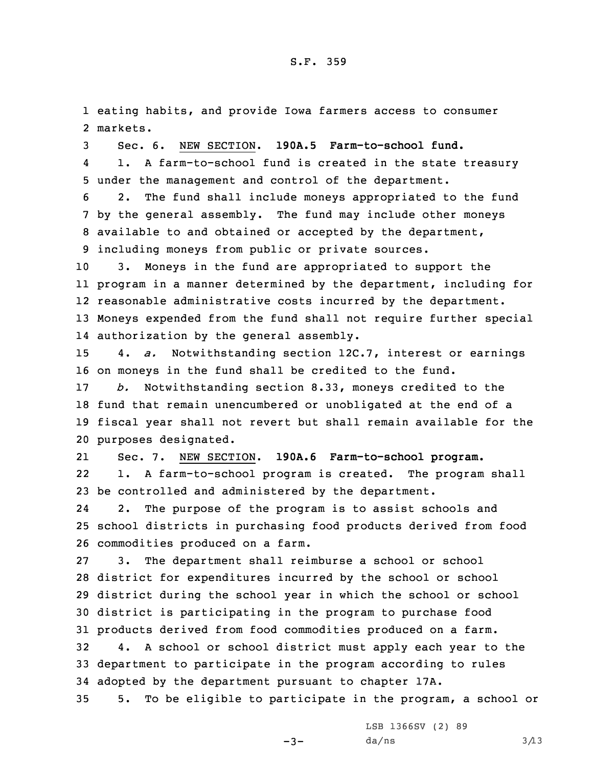1 eating habits, and provide Iowa farmers access to consumer 2 markets.

3 Sec. 6. NEW SECTION. **190A.5 Farm-to-school fund.**

4 1. <sup>A</sup> farm-to-school fund is created in the state treasury 5 under the management and control of the department.

 2. The fund shall include moneys appropriated to the fund by the general assembly. The fund may include other moneys available to and obtained or accepted by the department, including moneys from public or private sources.

 3. Moneys in the fund are appropriated to support the program in <sup>a</sup> manner determined by the department, including for reasonable administrative costs incurred by the department. Moneys expended from the fund shall not require further special authorization by the general assembly.

15 4. *a.* Notwithstanding section 12C.7, interest or earnings 16 on moneys in the fund shall be credited to the fund.

 *b.* Notwithstanding section 8.33, moneys credited to the fund that remain unencumbered or unobligated at the end of <sup>a</sup> fiscal year shall not revert but shall remain available for the purposes designated.

21 Sec. 7. NEW SECTION. **190A.6 Farm-to-school program.** 22 1. <sup>A</sup> farm-to-school program is created. The program shall 23 be controlled and administered by the department.

24 2. The purpose of the program is to assist schools and 25 school districts in purchasing food products derived from food 26 commodities produced on <sup>a</sup> farm.

 3. The department shall reimburse <sup>a</sup> school or school district for expenditures incurred by the school or school district during the school year in which the school or school district is participating in the program to purchase food products derived from food commodities produced on <sup>a</sup> farm.

32 4. <sup>A</sup> school or school district must apply each year to the 33 department to participate in the program according to rules 34 adopted by the department pursuant to chapter 17A.

35 5. To be eligible to participate in the program, <sup>a</sup> school or

 $-3-$ 

LSB 1366SV (2) 89  $da/ns$  3/13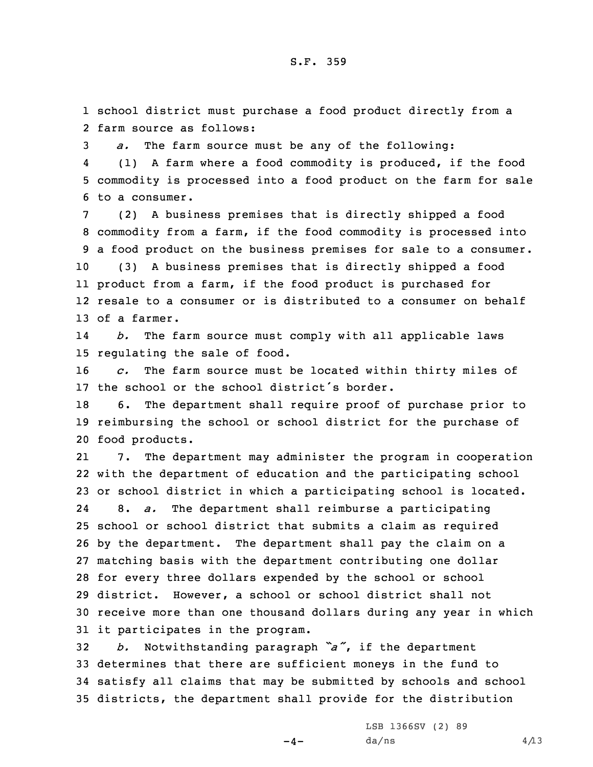1 school district must purchase <sup>a</sup> food product directly from <sup>a</sup> 2 farm source as follows:

3 *a.* The farm source must be any of the following:

4 (1) <sup>A</sup> farm where <sup>a</sup> food commodity is produced, if the food 5 commodity is processed into <sup>a</sup> food product on the farm for sale 6 to a consumer.

 (2) <sup>A</sup> business premises that is directly shipped <sup>a</sup> food commodity from <sup>a</sup> farm, if the food commodity is processed into <sup>a</sup> food product on the business premises for sale to <sup>a</sup> consumer. (3) <sup>A</sup> business premises that is directly shipped <sup>a</sup> food product from <sup>a</sup> farm, if the food product is purchased for resale to <sup>a</sup> consumer or is distributed to <sup>a</sup> consumer on behalf of a farmer.

14 *b.* The farm source must comply with all applicable laws 15 regulating the sale of food.

16 *c.* The farm source must be located within thirty miles of 17 the school or the school district's border.

18 6. The department shall require proof of purchase prior to 19 reimbursing the school or school district for the purchase of 20 food products.

21 7. The department may administer the program in cooperation with the department of education and the participating school or school district in which <sup>a</sup> participating school is located. 24 8. *a.* The department shall reimburse <sup>a</sup> participating school or school district that submits <sup>a</sup> claim as required by the department. The department shall pay the claim on <sup>a</sup> matching basis with the department contributing one dollar for every three dollars expended by the school or school district. However, <sup>a</sup> school or school district shall not receive more than one thousand dollars during any year in which it participates in the program.

 *b.* Notwithstanding paragraph *"a"*, if the department determines that there are sufficient moneys in the fund to satisfy all claims that may be submitted by schools and school districts, the department shall provide for the distribution

 $-4-$ 

LSB 1366SV (2) 89  $da/ns$  4/13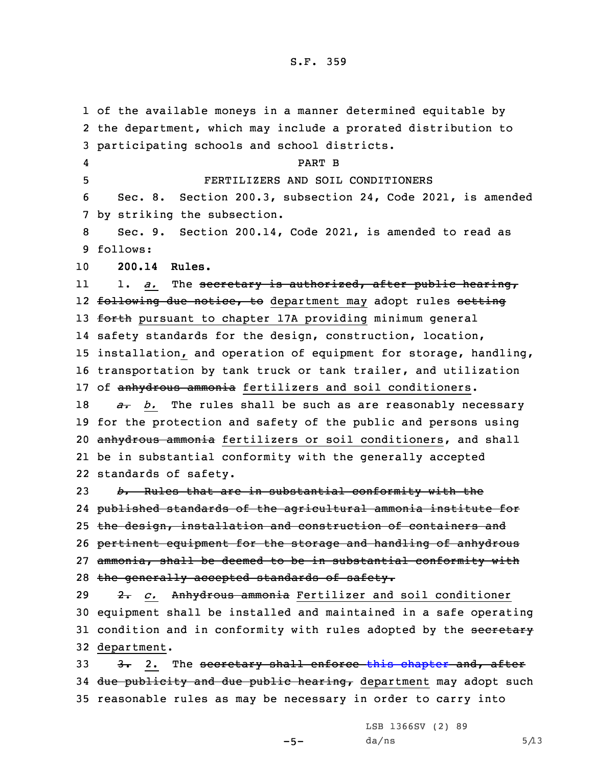of the available moneys in <sup>a</sup> manner determined equitable by the department, which may include <sup>a</sup> prorated distribution to participating schools and school districts. 4 PART B FERTILIZERS AND SOIL CONDITIONERS Sec. 8. Section 200.3, subsection 24, Code 2021, is amended by striking the subsection. Sec. 9. Section 200.14, Code 2021, is amended to read as 9 follows: **200.14 Rules.** 11 1. *a.* The secretary is authorized, after public hearing, 12 <del>following due notice, to</del> department may adopt rules <del>setting</del> 13 forth pursuant to chapter 17A providing minimum general safety standards for the design, construction, location, installation, and operation of equipment for storage, handling, transportation by tank truck or tank trailer, and utilization 17 of anhydrous ammonia fertilizers and soil conditioners. *a. b.* The rules shall be such as are reasonably necessary for the protection and safety of the public and persons using 20 anhydrous ammonia fertilizers or soil conditioners, and shall be in substantial conformity with the generally accepted standards of safety. *b.* Rules that are in substantial conformity with the published standards of the agricultural ammonia institute for the design, installation and construction of containers and pertinent equipment for the storage and handling of anhydrous ammonia, shall be deemed to be in substantial conformity with 28 the generally accepted standards of safety. 2. *c.* Anhydrous ammonia Fertilizer and soil conditioner equipment shall be installed and maintained in <sup>a</sup> safe operating 31 condition and in conformity with rules adopted by the secretary department.

33 3. 2. The secretary shall enforce this [chapter](https://www.legis.iowa.gov/docs/code/2021/200.pdf) and, after 34 due publicity and due public hearing, department may adopt such 35 reasonable rules as may be necessary in order to carry into

 $-5-$ 

LSB 1366SV (2) 89  $da/ns$  5/13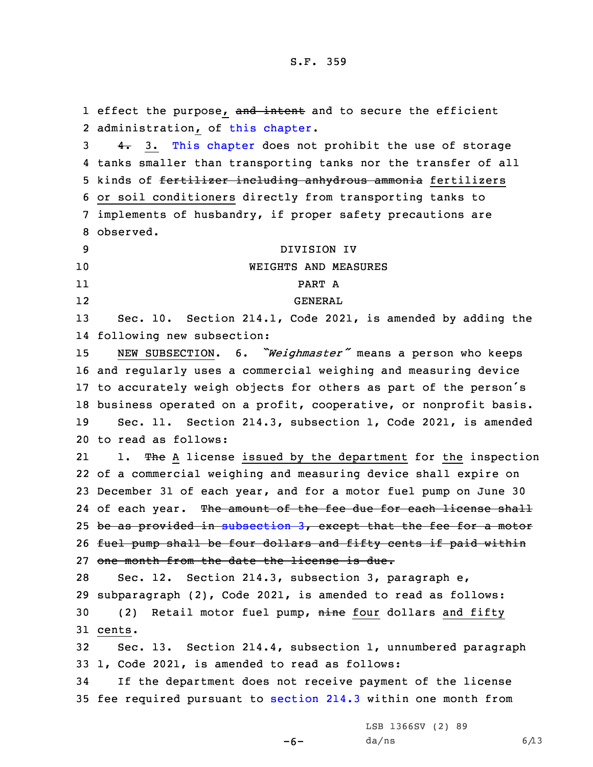1 effect the purpose, and intent and to secure the efficient 2 administration, of this [chapter](https://www.legis.iowa.gov/docs/code/2021/200.pdf). 3 4. 3. This [chapter](https://www.legis.iowa.gov/docs/code/2021/200.pdf) does not prohibit the use of storage tanks smaller than transporting tanks nor the transfer of all 5 kinds of fertilizer including anhydrous ammonia fertilizers or soil conditioners directly from transporting tanks to implements of husbandry, if proper safety precautions are observed. DIVISION IV WEIGHTS AND MEASURES 11 PART A 12 GENERAL 13 Sec. 10. Section 214.1, Code 2021, is amended by adding the following new subsection: NEW SUBSECTION. 6. *"Weighmaster"* means <sup>a</sup> person who keeps and regularly uses <sup>a</sup> commercial weighing and measuring device to accurately weigh objects for others as part of the person's business operated on <sup>a</sup> profit, cooperative, or nonprofit basis. Sec. 11. Section 214.3, subsection 1, Code 2021, is amended to read as follows: 211. The A license issued by the department for the inspection of <sup>a</sup> commercial weighing and measuring device shall expire on December 31 of each year, and for <sup>a</sup> motor fuel pump on June 30 24 of each year. <del>The amount of the fee due for each license shall</del> be as provided in [subsection](https://www.legis.iowa.gov/docs/code/2021/214.3.pdf) 3, except that the fee for <sup>a</sup> motor 26 fuel pump shall be four dollars and fifty cents if paid within one month from the date the license is due. Sec. 12. Section 214.3, subsection 3, paragraph e, subparagraph (2), Code 2021, is amended to read as follows: 30 (2) Retail motor fuel pump, nine four dollars and fifty 31 cents. Sec. 13. Section 214.4, subsection 1, unnumbered paragraph 1, Code 2021, is amended to read as follows: If the department does not receive payment of the license fee required pursuant to [section](https://www.legis.iowa.gov/docs/code/2021/214.3.pdf) 214.3 within one month from

-6-

LSB 1366SV (2) 89  $da/ns$  6/13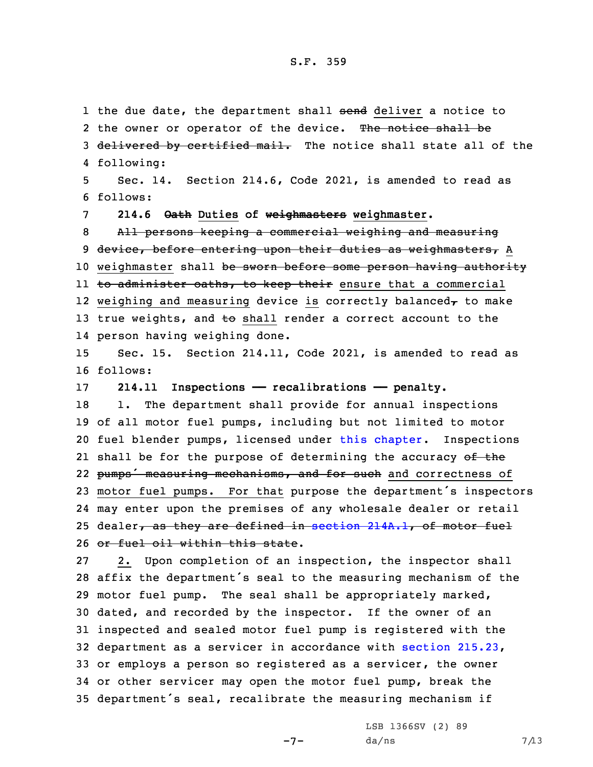1 the due date, the department shall <del>send</del> deliver a notice to

2 the owner or operator of the device. The notice shall be 3 delivered by certified mail. The notice shall state all of the following: Sec. 14. Section 214.6, Code 2021, is amended to read as 6 follows: **214.6 Oath Duties of weighmasters weighmaster.** All persons keeping <sup>a</sup> commercial weighing and measuring 9 device, before entering upon their duties as weighmasters, A 10 weighmaster shall be sworn before some person having authority ll <del>to administer oaths, to keep their</del> ensure that a commercial 12 weighing and measuring device is correctly balanced $_{\bm{\tau}}$  to make 13 true weights, and to shall render a correct account to the person having weighing done. Sec. 15. Section 214.11, Code 2021, is amended to read as 16 follows: **214.11 Inspections —— recalibrations —— penalty.** 18 1. The department shall provide for annual inspections of all motor fuel pumps, including but not limited to motor fuel blender pumps, licensed under this [chapter](https://www.legis.iowa.gov/docs/code/2021/214.pdf). Inspections 21 shall be for the purpose of determining the accuracy <del>of the</del> 22 pumps' measuring mechanisms, and for such and correctness of motor fuel pumps. For that purpose the department's inspectors may enter upon the premises of any wholesale dealer or retail 25 dealer, as they are defined in section  $214A.1$ , of motor fuel or fuel oil within this state. 2. Upon completion of an inspection, the inspector shall affix the department's seal to the measuring mechanism of the motor fuel pump. The seal shall be appropriately marked, dated, and recorded by the inspector. If the owner of an inspected and sealed motor fuel pump is registered with the department as <sup>a</sup> servicer in accordance with section [215.23](https://www.legis.iowa.gov/docs/code/2021/215.23.pdf), or employs <sup>a</sup> person so registered as <sup>a</sup> servicer, the owner or other servicer may open the motor fuel pump, break the department's seal, recalibrate the measuring mechanism if

 $-7-$ 

LSB 1366SV (2) 89  $da/ns$  7/13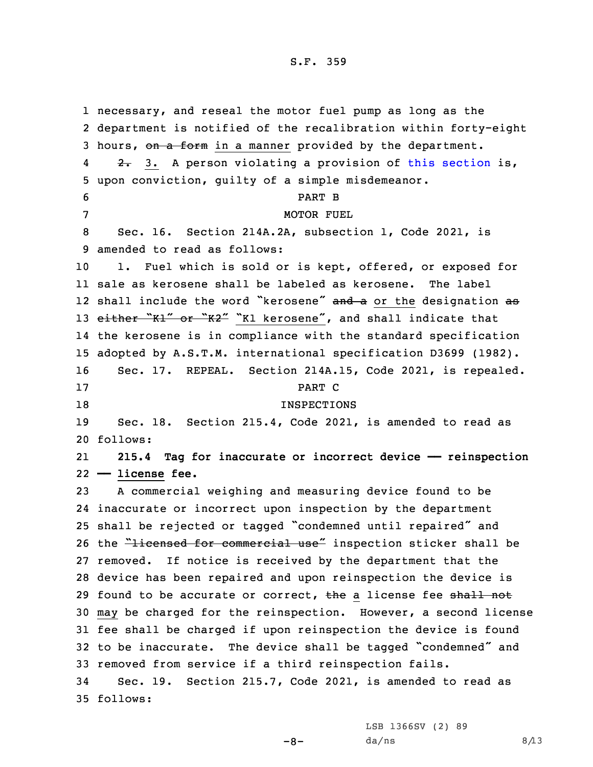1 necessary, and reseal the motor fuel pump as long as the 2 department is notified of the recalibration within forty-eight 3 hours, on a form in a manner provided by the department. 42. 3. A person violating a provision of this [section](https://www.legis.iowa.gov/docs/code/2021/214.11.pdf) is, 5 upon conviction, guilty of <sup>a</sup> simple misdemeanor. 6 PART B 7 MOTOR FUEL 8 Sec. 16. Section 214A.2A, subsection 1, Code 2021, is 9 amended to read as follows: 10 1. Fuel which is sold or is kept, offered, or exposed for 11 sale as kerosene shall be labeled as kerosene. The label 12 shall include the word "kerosene" and a or the designation as 13 either "Kl" or "K2" "K1 kerosene", and shall indicate that 14 the kerosene is in compliance with the standard specification 15 adopted by A.S.T.M. international specification D3699 (1982). 16 Sec. 17. REPEAL. Section 214A.15, Code 2021, is repealed. 17 PART C 18 INSPECTIONS 19 Sec. 18. Section 215.4, Code 2021, is amended to read as 20 follows: 21 **215.4 Tag for inaccurate or incorrect device —— reinspection** 22 **—— license fee.** 23 <sup>A</sup> commercial weighing and measuring device found to be 24 inaccurate or incorrect upon inspection by the department <sup>25</sup> shall be rejected or tagged "condemned until repaired" and 26 the "licensed for commercial use" inspection sticker shall be 27 removed. If notice is received by the department that the 28 device has been repaired and upon reinspection the device is 29 found to be accurate or correct, the a license fee shall not 30 may be charged for the reinspection. However, <sup>a</sup> second license 31 fee shall be charged if upon reinspection the device is found <sup>32</sup> to be inaccurate. The device shall be tagged "condemned" and 33 removed from service if <sup>a</sup> third reinspection fails. 34 Sec. 19. Section 215.7, Code 2021, is amended to read as 35 follows:

LSB 1366SV (2) 89

 $-8-$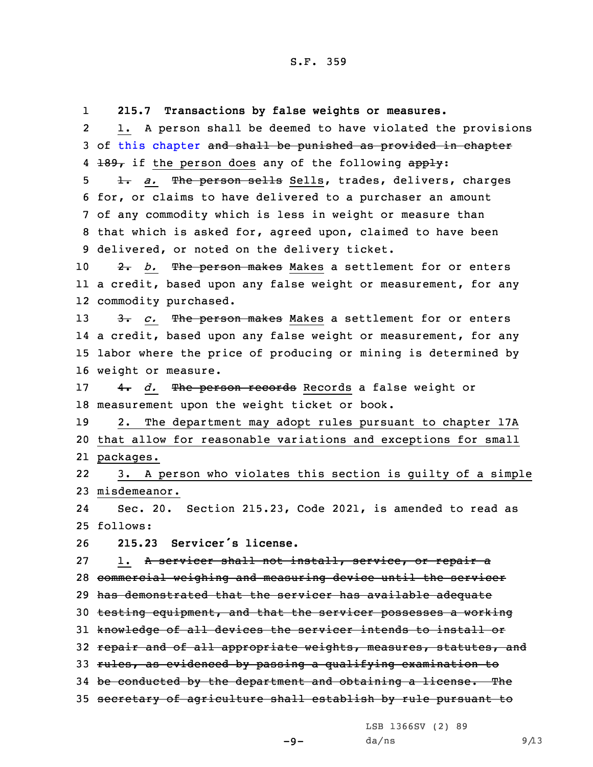1 **215.7 Transactions by false weights or measures.** 2 1. <sup>A</sup> person shall be deemed to have violated the provisions 3 of this [chapter](https://www.legis.iowa.gov/docs/code/2021/215.pdf) and shall be punished as provided in chapter 4 <del>189,</del> if the person does any of the following  $\frac{app1y}{a}$ : 5 1. a. The person sells Sells, trades, delivers, charges 6 for, or claims to have delivered to <sup>a</sup> purchaser an amount 7 of any commodity which is less in weight or measure than 8 that which is asked for, agreed upon, claimed to have been 9 delivered, or noted on the delivery ticket. 10 **2.** *b.* The person makes Makes a settlement for or enters 11 <sup>a</sup> credit, based upon any false weight or measurement, for any 12 commodity purchased. 13 3. *c.* The person makes Makes a settlement for or enters 14 <sup>a</sup> credit, based upon any false weight or measurement, for any 15 labor where the price of producing or mining is determined by 16 weight or measure. 17 4. *d.* The person records Records <sup>a</sup> false weight or 18 measurement upon the weight ticket or book. 19 2. The department may adopt rules pursuant to chapter 17A 20 that allow for reasonable variations and exceptions for small 21 packages. 22 3. <sup>A</sup> person who violates this section is guilty of <sup>a</sup> simple 23 misdemeanor. 24 Sec. 20. Section 215.23, Code 2021, is amended to read as 25 follows: 26 **215.23 Servicer's license.** 27 1. A servicer shall not install, service, or repair a 28 commercial weighing and measuring device until the servicer 29 has demonstrated that the servicer has available adequate 30 testing equipment, and that the servicer possesses <sup>a</sup> working 31 knowledge of all devices the servicer intends to install or 32 repair and of all appropriate weights, measures, statutes, and 33 rules, as evidenced by passing <sup>a</sup> qualifying examination to 34 be conducted by the department and obtaining a license. The 35 secretary of agriculture shall establish by rule pursuant to

LSB 1366SV (2) 89

 $-9-$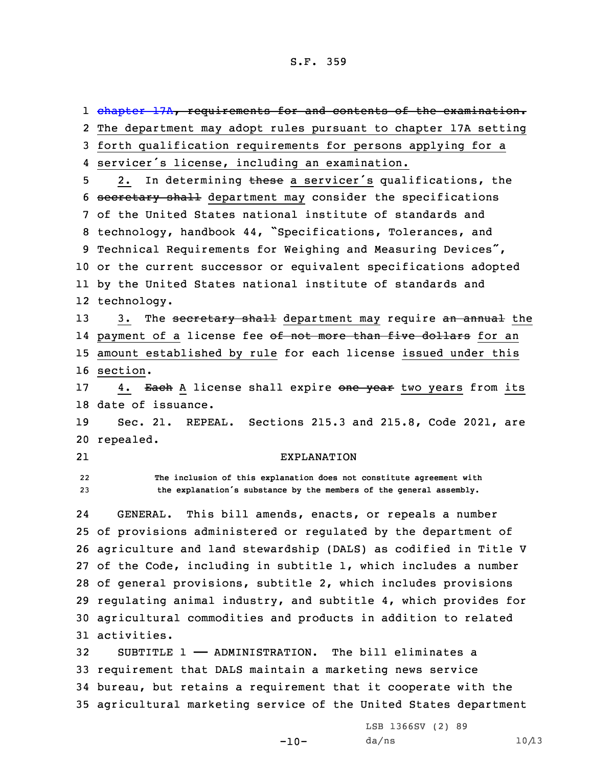1 <del>[chapter](https://www.legis.iowa.gov/docs/code/2021/17A.pdf) 17A, requirements for and contents of the examination.</del> The department may adopt rules pursuant to chapter 17A setting forth qualification requirements for persons applying for <sup>a</sup> servicer's license, including an examination. 5 2. In determining these a servicer's qualifications, the secretary shall department may consider the specifications of the United States national institute of standards and technology, handbook 44, "Specifications, Tolerances, and Technical Requirements for Weighing and Measuring Devices", or the current successor or equivalent specifications adopted by the United States national institute of standards and technology. 13 3. The secretary shall department may require an annual the 14 payment of a license fee <del>of not more than five dollars</del> for an amount established by rule for each license issued under this 16 section. 17 4. Each A license shall expire one year two years from its date of issuance. Sec. 21. REPEAL. Sections 215.3 and 215.8, Code 2021, are repealed. 21 EXPLANATION 22 **The inclusion of this explanation does not constitute agreement with the explanation's substance by the members of the general assembly.** 24 GENERAL. This bill amends, enacts, or repeals <sup>a</sup> number of provisions administered or regulated by the department of agriculture and land stewardship (DALS) as codified in Title <sup>V</sup> of the Code, including in subtitle 1, which includes <sup>a</sup> number of general provisions, subtitle 2, which includes provisions regulating animal industry, and subtitle 4, which provides for agricultural commodities and products in addition to related activities. SUBTITLE 1 —— ADMINISTRATION. The bill eliminates <sup>a</sup> requirement that DALS maintain <sup>a</sup> marketing news service bureau, but retains <sup>a</sup> requirement that it cooperate with the agricultural marketing service of the United States department

 $-10-$ 

LSB 1366SV (2) 89  $da/ns$  10/13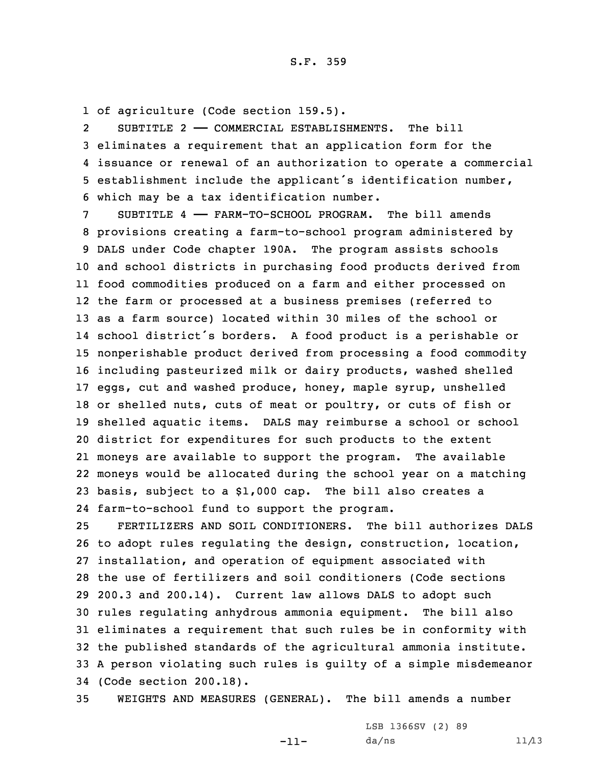1 of agriculture (Code section 159.5).

2 SUBTITLE 2 —— COMMERCIAL ESTABLISHMENTS. The bill eliminates <sup>a</sup> requirement that an application form for the issuance or renewal of an authorization to operate <sup>a</sup> commercial establishment include the applicant's identification number, which may be <sup>a</sup> tax identification number.

 SUBTITLE 4 —— FARM-TO-SCHOOL PROGRAM. The bill amends provisions creating <sup>a</sup> farm-to-school program administered by DALS under Code chapter 190A. The program assists schools and school districts in purchasing food products derived from food commodities produced on <sup>a</sup> farm and either processed on the farm or processed at <sup>a</sup> business premises (referred to as <sup>a</sup> farm source) located within 30 miles of the school or school district's borders. <sup>A</sup> food product is <sup>a</sup> perishable or nonperishable product derived from processing <sup>a</sup> food commodity including pasteurized milk or dairy products, washed shelled eggs, cut and washed produce, honey, maple syrup, unshelled or shelled nuts, cuts of meat or poultry, or cuts of fish or shelled aquatic items. DALS may reimburse <sup>a</sup> school or school district for expenditures for such products to the extent moneys are available to support the program. The available moneys would be allocated during the school year on <sup>a</sup> matching basis, subject to <sup>a</sup> \$1,000 cap. The bill also creates <sup>a</sup> farm-to-school fund to support the program.

 FERTILIZERS AND SOIL CONDITIONERS. The bill authorizes DALS to adopt rules regulating the design, construction, location, installation, and operation of equipment associated with the use of fertilizers and soil conditioners (Code sections 200.3 and 200.14). Current law allows DALS to adopt such rules regulating anhydrous ammonia equipment. The bill also eliminates <sup>a</sup> requirement that such rules be in conformity with the published standards of the agricultural ammonia institute. <sup>A</sup> person violating such rules is guilty of <sup>a</sup> simple misdemeanor (Code section 200.18).

35 WEIGHTS AND MEASURES (GENERAL). The bill amends <sup>a</sup> number

-11-

LSB 1366SV (2) 89  $da/ns$  11/13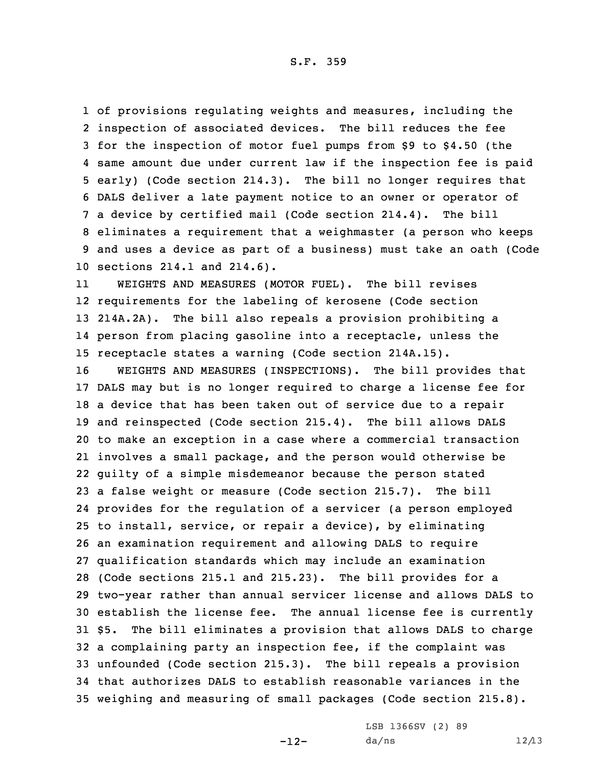S.F. 359

 of provisions regulating weights and measures, including the inspection of associated devices. The bill reduces the fee for the inspection of motor fuel pumps from \$9 to \$4.50 (the same amount due under current law if the inspection fee is paid early) (Code section 214.3). The bill no longer requires that DALS deliver <sup>a</sup> late payment notice to an owner or operator of <sup>a</sup> device by certified mail (Code section 214.4). The bill eliminates <sup>a</sup> requirement that <sup>a</sup> weighmaster (a person who keeps and uses <sup>a</sup> device as part of <sup>a</sup> business) must take an oath (Code sections 214.1 and 214.6).

11 WEIGHTS AND MEASURES (MOTOR FUEL). The bill revises requirements for the labeling of kerosene (Code section 214A.2A). The bill also repeals <sup>a</sup> provision prohibiting <sup>a</sup> person from placing gasoline into <sup>a</sup> receptacle, unless the receptacle states <sup>a</sup> warning (Code section 214A.15).

 WEIGHTS AND MEASURES (INSPECTIONS). The bill provides that DALS may but is no longer required to charge <sup>a</sup> license fee for <sup>a</sup> device that has been taken out of service due to <sup>a</sup> repair and reinspected (Code section 215.4). The bill allows DALS to make an exception in <sup>a</sup> case where <sup>a</sup> commercial transaction involves <sup>a</sup> small package, and the person would otherwise be guilty of <sup>a</sup> simple misdemeanor because the person stated <sup>a</sup> false weight or measure (Code section 215.7). The bill provides for the regulation of <sup>a</sup> servicer (a person employed to install, service, or repair <sup>a</sup> device), by eliminating an examination requirement and allowing DALS to require qualification standards which may include an examination (Code sections 215.1 and 215.23). The bill provides for <sup>a</sup> two-year rather than annual servicer license and allows DALS to establish the license fee. The annual license fee is currently \$5. The bill eliminates <sup>a</sup> provision that allows DALS to charge <sup>a</sup> complaining party an inspection fee, if the complaint was unfounded (Code section 215.3). The bill repeals <sup>a</sup> provision that authorizes DALS to establish reasonable variances in the weighing and measuring of small packages (Code section 215.8).

-12-

LSB 1366SV (2) 89  $da/ns$  12/13